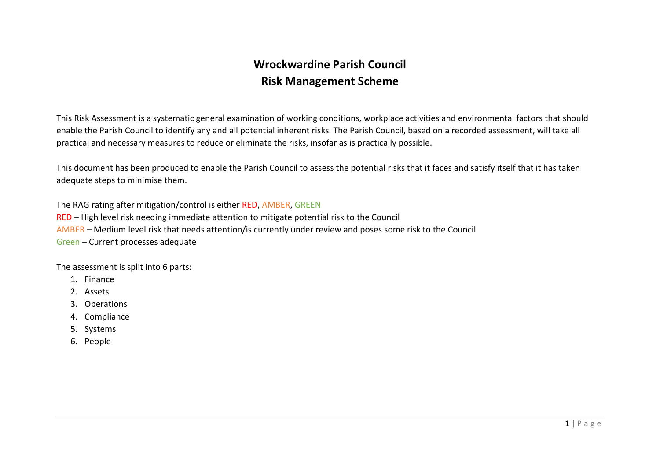# Wrockwardine Parish Council Risk Management Scheme

This Risk Assessment is a systematic general examination of working conditions, workplace activities and environmental factors that should enable the Parish Council to identify any and all potential inherent risks. The Parish Council, based on a recorded assessment, will take all practical and necessary measures to reduce or eliminate the risks, insofar as is practically possible.

This document has been produced to enable the Parish Council to assess the potential risks that it faces and satisfy itself that it has taken adequate steps to minimise them.

The RAG rating after mitigation/control is either RED, AMBER, GREEN RED – High level risk needing immediate attention to mitigate potential risk to the Council AMBER – Medium level risk that needs attention/is currently under review and poses some risk to the Council Green – Current processes adequate

The assessment is split into 6 parts:

- 1. Finance
- 2. Assets
- 3. Operations
- 4. Compliance
- 5. Systems
- 6. People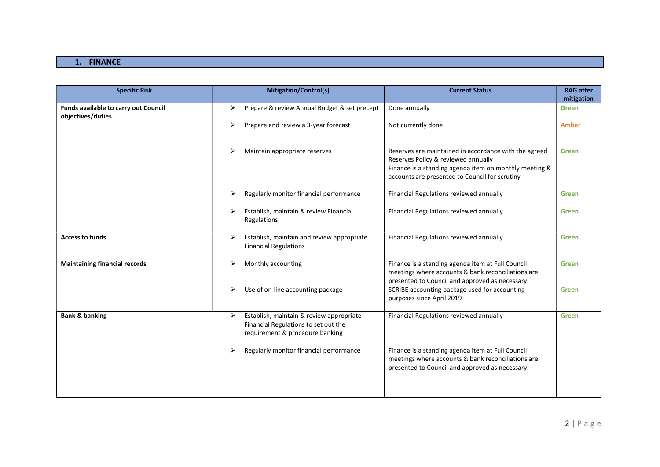# 1. FINANCE

| <b>Specific Risk</b>                                      | Mitigation/Control(s)<br><b>Current Status</b>                                                                                                                                                                                            | <b>RAG after</b><br>mitigation |
|-----------------------------------------------------------|-------------------------------------------------------------------------------------------------------------------------------------------------------------------------------------------------------------------------------------------|--------------------------------|
| Funds available to carry out Council<br>objectives/duties | Prepare & review Annual Budget & set precept<br>Done annually<br>⋗                                                                                                                                                                        | Green                          |
|                                                           | Prepare and review a 3-year forecast<br>Not currently done<br>⋗                                                                                                                                                                           | <b>Amber</b>                   |
|                                                           | Maintain appropriate reserves<br>Reserves are maintained in accordance with the agreed<br>Reserves Policy & reviewed annually<br>Finance is a standing agenda item on monthly meeting &<br>accounts are presented to Council for scrutiny | <b>Green</b>                   |
|                                                           | Regularly monitor financial performance<br>Financial Regulations reviewed annually                                                                                                                                                        | <b>Green</b>                   |
|                                                           | Establish, maintain & review Financial<br>Financial Regulations reviewed annually<br>Regulations                                                                                                                                          | Green                          |
| <b>Access to funds</b>                                    | Establish, maintain and review appropriate<br>Financial Regulations reviewed annually<br>≻<br><b>Financial Regulations</b>                                                                                                                | <b>Green</b>                   |
| <b>Maintaining financial records</b>                      | Monthly accounting<br>Finance is a standing agenda item at Full Council<br>⋗<br>meetings where accounts & bank reconciliations are<br>presented to Council and approved as necessary                                                      | <b>Green</b>                   |
|                                                           | SCRIBE accounting package used for accounting<br>Use of on-line accounting package<br>⋗<br>purposes since April 2019                                                                                                                      | Green                          |
| <b>Bank &amp; banking</b>                                 | Establish, maintain & review appropriate<br>Financial Regulations reviewed annually<br>➤<br>Financial Regulations to set out the<br>requirement & procedure banking                                                                       | <b>Green</b>                   |
|                                                           | Regularly monitor financial performance<br>Finance is a standing agenda item at Full Council<br>meetings where accounts & bank reconciliations are<br>presented to Council and approved as necessary                                      |                                |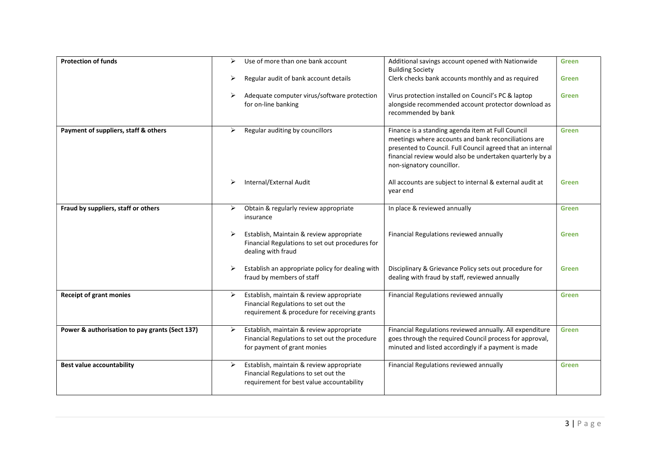| <b>Protection of funds</b>                     | ➤ | Use of more than one bank account                                                                                                | Additional savings account opened with Nationwide<br><b>Building Society</b>                                                                                                                                                                                     | <b>Green</b> |
|------------------------------------------------|---|----------------------------------------------------------------------------------------------------------------------------------|------------------------------------------------------------------------------------------------------------------------------------------------------------------------------------------------------------------------------------------------------------------|--------------|
|                                                | ➤ | Regular audit of bank account details                                                                                            | Clerk checks bank accounts monthly and as required                                                                                                                                                                                                               | <b>Green</b> |
|                                                | ➤ | Adequate computer virus/software protection<br>for on-line banking                                                               | Virus protection installed on Council's PC & laptop<br>alongside recommended account protector download as<br>recommended by bank                                                                                                                                | <b>Green</b> |
| Payment of suppliers, staff & others           | ➤ | Regular auditing by councillors                                                                                                  | Finance is a standing agenda item at Full Council<br>meetings where accounts and bank reconciliations are<br>presented to Council. Full Council agreed that an internal<br>financial review would also be undertaken quarterly by a<br>non-signatory councillor. | <b>Green</b> |
|                                                | ➤ | Internal/External Audit                                                                                                          | All accounts are subject to internal & external audit at<br>year end                                                                                                                                                                                             | <b>Green</b> |
| Fraud by suppliers, staff or others            | ➤ | Obtain & regularly review appropriate<br>insurance                                                                               | In place & reviewed annually                                                                                                                                                                                                                                     | <b>Green</b> |
|                                                | ➤ | Establish, Maintain & review appropriate<br>Financial Regulations to set out procedures for<br>dealing with fraud                | Financial Regulations reviewed annually                                                                                                                                                                                                                          | <b>Green</b> |
|                                                | ➤ | Establish an appropriate policy for dealing with<br>fraud by members of staff                                                    | Disciplinary & Grievance Policy sets out procedure for<br>dealing with fraud by staff, reviewed annually                                                                                                                                                         | <b>Green</b> |
| <b>Receipt of grant monies</b>                 | ➤ | Establish, maintain & review appropriate<br>Financial Regulations to set out the<br>requirement & procedure for receiving grants | Financial Regulations reviewed annually                                                                                                                                                                                                                          | <b>Green</b> |
| Power & authorisation to pay grants (Sect 137) | ➤ | Establish, maintain & review appropriate<br>Financial Regulations to set out the procedure<br>for payment of grant monies        | Financial Regulations reviewed annually. All expenditure<br>goes through the required Council process for approval,<br>minuted and listed accordingly if a payment is made                                                                                       | <b>Green</b> |
| <b>Best value accountability</b>               | ➤ | Establish, maintain & review appropriate<br>Financial Regulations to set out the<br>requirement for best value accountability    | Financial Regulations reviewed annually                                                                                                                                                                                                                          | <b>Green</b> |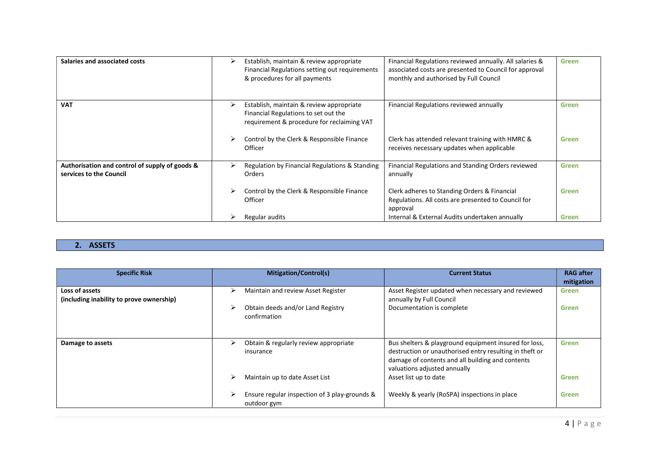| Salaries and associated costs                                             |   | Establish, maintain & review appropriate<br>Financial Regulations setting out requirements<br>& procedures for all payments    | Financial Regulations reviewed annually. All salaries &<br>associated costs are presented to Council for approval<br>monthly and authorised by Full Council | <b>Green</b> |
|---------------------------------------------------------------------------|---|--------------------------------------------------------------------------------------------------------------------------------|-------------------------------------------------------------------------------------------------------------------------------------------------------------|--------------|
| <b>VAT</b>                                                                | ➤ | Establish, maintain & review appropriate<br>Financial Regulations to set out the<br>requirement & procedure for reclaiming VAT | Financial Regulations reviewed annually                                                                                                                     | <b>Green</b> |
|                                                                           |   | Control by the Clerk & Responsible Finance<br>Officer                                                                          | Clerk has attended relevant training with HMRC &<br>receives necessary updates when applicable                                                              | <b>Green</b> |
| Authorisation and control of supply of goods &<br>services to the Council | ↘ | Regulation by Financial Regulations & Standing<br>Orders                                                                       | Financial Regulations and Standing Orders reviewed<br>annually                                                                                              | <b>Green</b> |
|                                                                           |   | Control by the Clerk & Responsible Finance<br>Officer                                                                          | Clerk adheres to Standing Orders & Financial<br>Regulations. All costs are presented to Council for<br>approval                                             | <b>Green</b> |
|                                                                           |   | Regular audits                                                                                                                 | Internal & External Audits undertaken annually                                                                                                              | <b>Green</b> |

# 2. ASSETS

| <b>Specific Risk</b>                                       | <b>Mitigation/Control(s)</b>                                      | <b>Current Status</b>                                                                                                                                                                                | <b>RAG</b> after<br>mitigation |
|------------------------------------------------------------|-------------------------------------------------------------------|------------------------------------------------------------------------------------------------------------------------------------------------------------------------------------------------------|--------------------------------|
| Loss of assets<br>(including inability to prove ownership) | Maintain and review Asset Register<br>⋗                           | Asset Register updated when necessary and reviewed<br>annually by Full Council                                                                                                                       | <b>Green</b>                   |
|                                                            | Obtain deeds and/or Land Registry<br>confirmation                 | Documentation is complete                                                                                                                                                                            | Green                          |
| Damage to assets                                           | Obtain & regularly review appropriate<br>⋗<br>insurance           | Bus shelters & playground equipment insured for loss,<br>destruction or unauthorised entry resulting in theft or<br>damage of contents and all building and contents<br>valuations adjusted annually | <b>Green</b>                   |
|                                                            | Maintain up to date Asset List                                    | Asset list up to date                                                                                                                                                                                | <b>Green</b>                   |
|                                                            | Ensure regular inspection of 3 play-grounds &<br>↘<br>outdoor gym | Weekly & yearly (RoSPA) inspections in place                                                                                                                                                         | <b>Green</b>                   |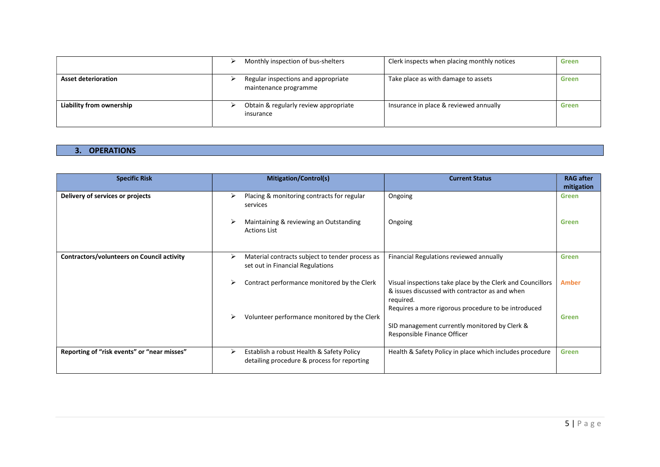|                            | Monthly inspection of bus-shelters                           | Clerk inspects when placing monthly notices | Green |
|----------------------------|--------------------------------------------------------------|---------------------------------------------|-------|
| <b>Asset deterioration</b> | Regular inspections and appropriate<br>maintenance programme | Take place as with damage to assets         | Green |
| Liability from ownership   | Obtain & regularly review appropriate<br>insurance           | Insurance in place & reviewed annually      | Green |

# 3. OPERATIONS

| <b>Specific Risk</b>                              | <b>Mitigation/Control(s)</b>                                                                                                   | <b>RAG</b> after<br><b>Current Status</b><br>mitigation                                                                      |
|---------------------------------------------------|--------------------------------------------------------------------------------------------------------------------------------|------------------------------------------------------------------------------------------------------------------------------|
| Delivery of services or projects                  | Placing & monitoring contracts for regular<br>Ongoing<br>⋗<br>services                                                         | <b>Green</b>                                                                                                                 |
|                                                   | Maintaining & reviewing an Outstanding<br>Ongoing<br><b>Actions List</b>                                                       | Green                                                                                                                        |
| <b>Contractors/volunteers on Council activity</b> | Material contracts subject to tender process as<br>Financial Regulations reviewed annually<br>set out in Financial Regulations | <b>Green</b>                                                                                                                 |
|                                                   | Contract performance monitored by the Clerk<br>required.                                                                       | Visual inspections take place by the Clerk and Councillors<br><b>Amber</b><br>& issues discussed with contractor as and when |
|                                                   | Volunteer performance monitored by the Clerk<br>Responsible Finance Officer                                                    | Requires a more rigorous procedure to be introduced<br>Green<br>SID management currently monitored by Clerk &                |
| Reporting of "risk events" or "near misses"       | Establish a robust Health & Safety Policy<br>⋗<br>detailing procedure & process for reporting                                  | Health & Safety Policy in place which includes procedure<br><b>Green</b>                                                     |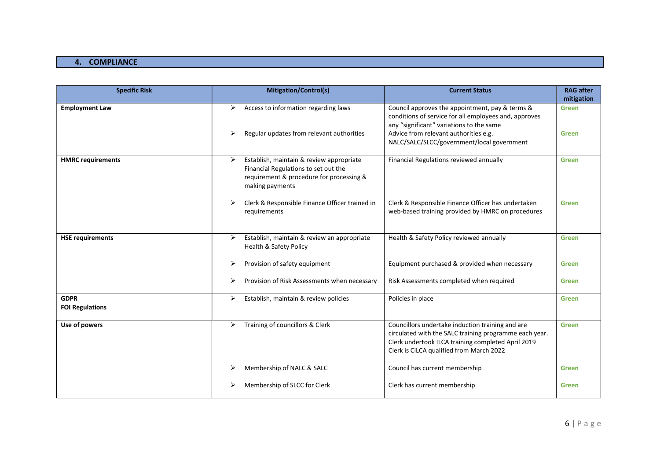#### 4. COMPLIANCE

| <b>Specific Risk</b>                  | <b>Mitigation/Control(s)</b>                                                                                                                         | <b>Current Status</b>                                                                                                                                                                                                                       | <b>RAG after</b><br>mitigation |
|---------------------------------------|------------------------------------------------------------------------------------------------------------------------------------------------------|---------------------------------------------------------------------------------------------------------------------------------------------------------------------------------------------------------------------------------------------|--------------------------------|
| <b>Employment Law</b>                 | Access to information regarding laws<br>➤<br>Regular updates from relevant authorities                                                               | Council approves the appointment, pay & terms &<br>conditions of service for all employees and, approves<br>any "significant" variations to the same<br>Advice from relevant authorities e.g.<br>NALC/SALC/SLCC/government/local government | <b>Green</b><br><b>Green</b>   |
| <b>HMRC</b> requirements              | Establish, maintain & review appropriate<br>➤<br>Financial Regulations to set out the<br>requirement & procedure for processing &<br>making payments | Financial Regulations reviewed annually                                                                                                                                                                                                     | Green                          |
|                                       | Clerk & Responsible Finance Officer trained in<br>requirements                                                                                       | Clerk & Responsible Finance Officer has undertaken<br>web-based training provided by HMRC on procedures                                                                                                                                     | <b>Green</b>                   |
| <b>HSE requirements</b>               | Establish, maintain & review an appropriate<br>➤<br>Health & Safety Policy                                                                           | Health & Safety Policy reviewed annually                                                                                                                                                                                                    | <b>Green</b>                   |
|                                       | Provision of safety equipment                                                                                                                        | Equipment purchased & provided when necessary                                                                                                                                                                                               | Green                          |
|                                       | Provision of Risk Assessments when necessary                                                                                                         | Risk Assessments completed when required                                                                                                                                                                                                    | Green                          |
| <b>GDPR</b><br><b>FOI Regulations</b> | Establish, maintain & review policies<br>➤                                                                                                           | Policies in place                                                                                                                                                                                                                           | <b>Green</b>                   |
| Use of powers                         | Training of councillors & Clerk<br>➤                                                                                                                 | Councillors undertake induction training and are<br>circulated with the SALC training programme each year.<br>Clerk undertook ILCA training completed April 2019<br>Clerk is CiLCA qualified from March 2022                                | <b>Green</b>                   |
|                                       | Membership of NALC & SALC                                                                                                                            | Council has current membership                                                                                                                                                                                                              | Green                          |
|                                       | Membership of SLCC for Clerk                                                                                                                         | Clerk has current membership                                                                                                                                                                                                                | Green                          |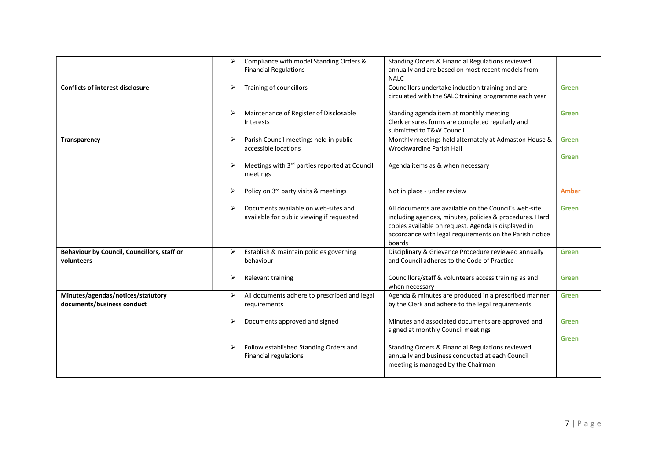|                                                                 | ≻ | Compliance with model Standing Orders &                                           | Standing Orders & Financial Regulations reviewed                                                                                                                                                                                             |              |
|-----------------------------------------------------------------|---|-----------------------------------------------------------------------------------|----------------------------------------------------------------------------------------------------------------------------------------------------------------------------------------------------------------------------------------------|--------------|
|                                                                 |   | <b>Financial Regulations</b>                                                      | annually and are based on most recent models from<br><b>NALC</b>                                                                                                                                                                             |              |
| <b>Conflicts of interest disclosure</b>                         | ⋗ | Training of councillors                                                           | Councillors undertake induction training and are                                                                                                                                                                                             | <b>Green</b> |
|                                                                 |   |                                                                                   | circulated with the SALC training programme each year                                                                                                                                                                                        |              |
|                                                                 |   | Maintenance of Register of Disclosable<br><b>Interests</b>                        | Standing agenda item at monthly meeting<br>Clerk ensures forms are completed regularly and<br>submitted to T&W Council                                                                                                                       | <b>Green</b> |
| Transparency                                                    | ➤ | Parish Council meetings held in public                                            | Monthly meetings held alternately at Admaston House &                                                                                                                                                                                        | <b>Green</b> |
|                                                                 |   | accessible locations                                                              | Wrockwardine Parish Hall                                                                                                                                                                                                                     |              |
|                                                                 | ➤ | Meetings with 3rd parties reported at Council<br>meetings                         | Agenda items as & when necessary                                                                                                                                                                                                             | <b>Green</b> |
|                                                                 |   | Policy on 3rd party visits & meetings                                             | Not in place - under review                                                                                                                                                                                                                  | <b>Amber</b> |
|                                                                 |   | Documents available on web-sites and<br>available for public viewing if requested | All documents are available on the Council's web-site<br>including agendas, minutes, policies & procedures. Hard<br>copies available on request. Agenda is displayed in<br>accordance with legal requirements on the Parish notice<br>boards | <b>Green</b> |
| Behaviour by Council, Councillors, staff or<br>volunteers       | ➤ | Establish & maintain policies governing<br>behaviour                              | Disciplinary & Grievance Procedure reviewed annually<br>and Council adheres to the Code of Practice                                                                                                                                          | <b>Green</b> |
|                                                                 | ⋗ | Relevant training                                                                 | Councillors/staff & volunteers access training as and<br>when necessary                                                                                                                                                                      | <b>Green</b> |
| Minutes/agendas/notices/statutory<br>documents/business conduct | ≻ | All documents adhere to prescribed and legal<br>requirements                      | Agenda & minutes are produced in a prescribed manner<br>by the Clerk and adhere to the legal requirements                                                                                                                                    | <b>Green</b> |
|                                                                 |   | Documents approved and signed                                                     | Minutes and associated documents are approved and<br>signed at monthly Council meetings                                                                                                                                                      | <b>Green</b> |
|                                                                 | ➤ | Follow established Standing Orders and<br>Financial regulations                   | Standing Orders & Financial Regulations reviewed<br>annually and business conducted at each Council<br>meeting is managed by the Chairman                                                                                                    | <b>Green</b> |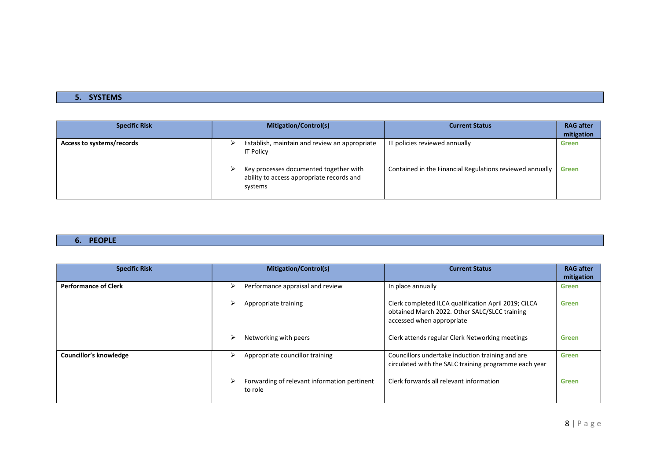# 5. SYSTEMS

| <b>Specific Risk</b>      | <b>Mitigation/Control(s)</b>                                                                                                                                        | <b>Current Status</b>                                                                     | <b>RAG after</b><br>mitigation |
|---------------------------|---------------------------------------------------------------------------------------------------------------------------------------------------------------------|-------------------------------------------------------------------------------------------|--------------------------------|
| Access to systems/records | Establish, maintain and review an appropriate<br><b>IT Policy</b><br>Key processes documented together with<br>ability to access appropriate records and<br>systems | IT policies reviewed annually<br>Contained in the Financial Regulations reviewed annually | Green<br>Green                 |

#### 6. PEOPLE

| <b>Specific Risk</b>        |   | <b>Mitigation/Control(s)</b>                            | <b>Current Status</b>                                                                                                              | <b>RAG</b> after<br>mitigation |
|-----------------------------|---|---------------------------------------------------------|------------------------------------------------------------------------------------------------------------------------------------|--------------------------------|
| <b>Performance of Clerk</b> | ➤ | Performance appraisal and review                        | In place annually                                                                                                                  | <b>Green</b>                   |
|                             | ➤ | Appropriate training                                    | Clerk completed ILCA qualification April 2019; CiLCA<br>obtained March 2022. Other SALC/SLCC training<br>accessed when appropriate | <b>Green</b>                   |
|                             | ↘ | Networking with peers                                   | Clerk attends regular Clerk Networking meetings                                                                                    | <b>Green</b>                   |
| Councillor's knowledge      | ↘ | Appropriate councillor training                         | Councillors undertake induction training and are<br>circulated with the SALC training programme each year                          | <b>Green</b>                   |
|                             |   | Forwarding of relevant information pertinent<br>to role | Clerk forwards all relevant information                                                                                            | <b>Green</b>                   |